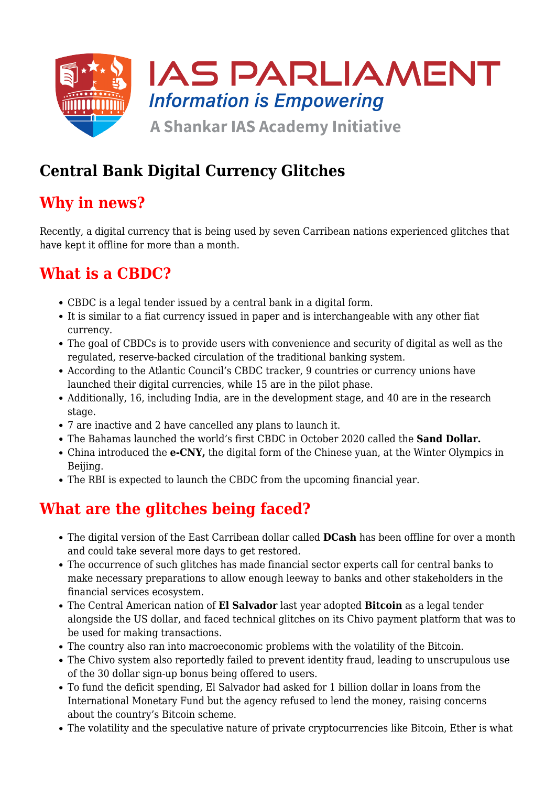

# **Central Bank Digital Currency Glitches**

#### **Why in news?**

Recently, a digital currency that is being used by seven Carribean nations experienced glitches that have kept it offline for more than a month.

### **What is a CBDC?**

- CBDC is a legal tender issued by a central bank in a digital form.
- It is similar to a fiat currency issued in paper and is interchangeable with any other fiat currency.
- The goal of CBDCs is to provide users with convenience and security of digital as well as the regulated, reserve-backed circulation of the traditional banking system.
- According to the Atlantic Council's CBDC tracker, 9 countries or currency unions have launched their digital currencies, while 15 are in the pilot phase.
- Additionally, 16, including India, are in the development stage, and 40 are in the research stage.
- 7 are inactive and 2 have cancelled any plans to launch it.
- The Bahamas launched the world's first CBDC in October 2020 called the **Sand Dollar.**
- China introduced the **e-CNY,** the digital form of the Chinese yuan, at the Winter Olympics in Beijing.
- The RBI is expected to launch the CBDC from the upcoming financial year.

# **What are the glitches being faced?**

- The digital version of the East Carribean dollar called **DCash** has been offline for over a month and could take several more days to get restored.
- The occurrence of such glitches has made financial sector experts call for central banks to make necessary preparations to allow enough leeway to banks and other stakeholders in the financial services ecosystem.
- The Central American nation of **El Salvador** last year adopted **Bitcoin** as a legal tender alongside the US dollar, and faced technical glitches on its Chivo payment platform that was to be used for making transactions.
- The country also ran into macroeconomic problems with the volatility of the Bitcoin.
- The Chivo system also reportedly failed to prevent identity fraud, leading to unscrupulous use of the 30 dollar sign-up bonus being offered to users.
- To fund the deficit spending, El Salvador had asked for 1 billion dollar in loans from the International Monetary Fund but the agency refused to lend the money, raising concerns about the country's Bitcoin scheme.
- The volatility and the speculative nature of private cryptocurrencies like Bitcoin, Ether is what